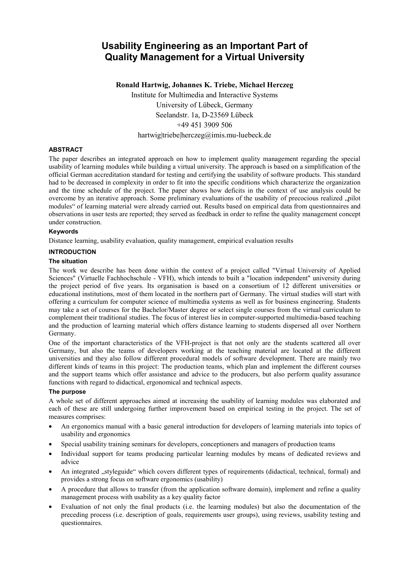# **Usability Engineering as an Important Part of Quality Management for a Virtual University**

**Ronald Hartwig, Johannes K. Triebe, Michael Herczeg**  Institute for Multimedia and Interactive Systems University of Lübeck, Germany Seelandstr. 1a, D-23569 Lübeck +49 451 3909 506 hartwig|triebe|herczeg@imis.mu-luebeck.de

## **ABSTRACT**

The paper describes an integrated approach on how to implement quality management regarding the special usability of learning modules while building a virtual university. The approach is based on a simplification of the official German accreditation standard for testing and certifying the usability of software products. This standard had to be decreased in complexity in order to fit into the specific conditions which characterize the organization and the time schedule of the project. The paper shows how deficits in the context of use analysis could be overcome by an iterative approach. Some preliminary evaluations of the usability of precocious realized "pilot modules" of learning material were already carried out. Results based on empirical data from questionnaires and observations in user tests are reported; they served as feedback in order to refine the quality management concept under construction.

## **Keywords**

Distance learning, usability evaluation, quality management, empirical evaluation results

#### **INTRODUCTION**

#### **The situation**

The work we describe has been done within the context of a project called "Virtual University of Applied Sciences" (Virtuelle Fachhochschule - VFH), which intends to built a "location independent" university during the project period of five years. Its organisation is based on a consortium of 12 different universities or educational institutions, most of them located in the northern part of Germany. The virtual studies will start with offering a curriculum for computer science of multimedia systems as well as for business engineering. Students may take a set of courses for the Bachelor/Master degree or select single courses from the virtual curriculum to complement their traditional studies. The focus of interest lies in computer-supported multimedia-based teaching and the production of learning material which offers distance learning to students dispersed all over Northern Germany.

One of the important characteristics of the VFH-project is that not only are the students scattered all over Germany, but also the teams of developers working at the teaching material are located at the different universities and they also follow different procedural models of software development. There are mainly two different kinds of teams in this project: The production teams, which plan and implement the different courses and the support teams which offer assistance and advice to the producers, but also perform quality assurance functions with regard to didactical, ergonomical and technical aspects.

#### **The purpose**

A whole set of different approaches aimed at increasing the usability of learning modules was elaborated and each of these are still undergoing further improvement based on empirical testing in the project. The set of measures comprises:

- An ergonomics manual with a basic general introduction for developers of learning materials into topics of usability and ergonomics
- Special usability training seminars for developers, conceptioners and managers of production teams
- Individual support for teams producing particular learning modules by means of dedicated reviews and advice
- An integrated "styleguide" which covers different types of requirements (didactical, technical, formal) and provides a strong focus on software ergonomics (usability)
- A procedure that allows to transfer (from the application software domain), implement and refine a quality management process with usability as a key quality factor
- Evaluation of not only the final products (i.e. the learning modules) but also the documentation of the preceding process (i.e. description of goals, requirements user groups), using reviews, usability testing and questionnaires.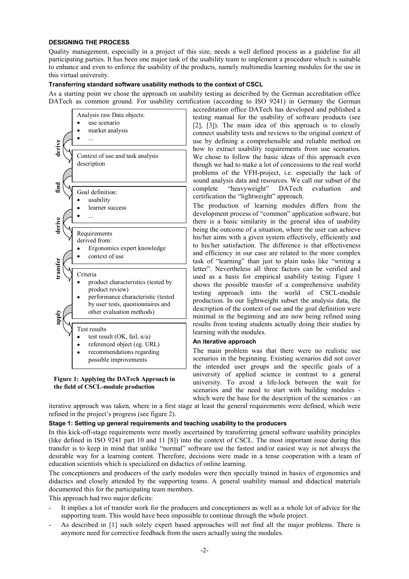#### **DESIGNING THE PROCESS**

Quality management, especially in a project of this size, needs a well defined process as a guideline for all participating parties. It has been one major task of the usability team to implement a procedure which is suitable to enhance and even to enforce the usability of the products, namely multimedia learning modules for the use in this virtual university.

#### **Transferring standard software usability methods to the context of CSCL**

As a starting point we chose the approach on usability testing as described by the German accreditation office DATech as common ground. For usability certification (according to ISO 9241) in Germany the German



**Figure 1: Applying the DATech Approach in the field of CSCL-module production**

accreditation office DATech has developed and published a testing manual for the usability of software products (see [2], [3]). The main idea of this approach is to closely connect usability tests and reviews to the original context of use by defining a comprehensible and reliable method on how to extract usability requirements from use scenarios. We chose to follow the basic ideas of this approach even though we had to make a lot of concessions to the real world problems of the VFH-project, i.e. especially the lack of sound analysis data and resources. We call our subset of the complete "heavyweight" DATech evaluation and certification the "lightweight" approach.

The production of learning modules differs from the development process of "common" application software, but there is a basic similarity in the general idea of usability being the outcome of a situation, where the user can achieve his/her aims with a given system effectively, efficiently and to his/her satisfaction. The difference is that effectiveness and efficiency in our case are related to the more complex task of "learning" than just to plain tasks like "writing a letter". Nevertheless all three factors can be verified and used as a basis for empirical usability testing. Figure 1 shows the possible transfer of a comprehensive usability testing approach into the world of CSCL-module production. In our lightweight subset the analysis data, the description of the context of use and the goal definition were minimal in the beginning and are now being refined using results from testing students actually doing their studies by learning with the modules.

#### **An iterative approach**

The main problem was that there were no realistic use scenarios in the beginning. Existing scenarios did not cover the intended user groups and the specific goals of a university of applied science in contrast to a general university. To avoid a life-lock between the wait for scenarios and the need to start with building modules which were the base for the description of the scenarios - an

iterative approach was taken, where in a first stage at least the general requirements were defined, which were refined in the project's progress (see figure 2).

## **Stage 1: Setting up general requirements and teaching usability to the producers**

In this kick-off-stage requirements were mostly ascertained by transferring general software usability principles (like defined in ISO 9241 part 10 and 11 [8]) into the context of CSCL. The most important issue during this transfer is to keep in mind that unlike "normal" software use the fastest and/or easiest way is not always the desirable way for a learning content. Therefore, decisions were made in a tense cooperation with a team of education scientists which is specialized on didactics of online learning.

The conceptioners and producers of the early modules were then specially trained in basics of ergonomics and didactics and closely attended by the supporting teams. A general usability manual and didactical materials documented this for the participating team members.

This approach had two major deficits:

- It implies a lot of transfer work for the producers and conceptioners as well as a whole lot of advice for the supporting team. This would have been impossible to continue through the whole project.
- As described in [1] such solely expert based approaches will not find all the major problems. There is anymore need for corrective feedback from the users actually using the modules.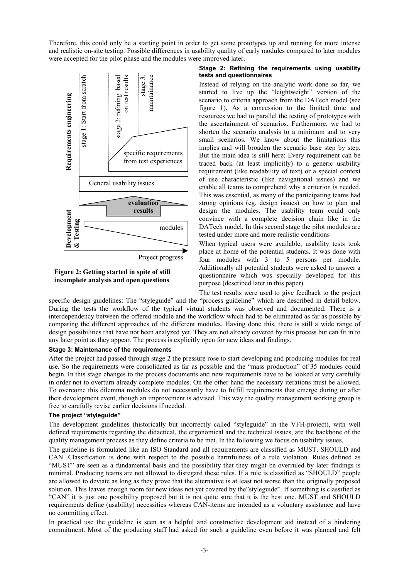Therefore, this could only be a starting point in order to get some prototypes up and running for more intense and realistic on-site testing. Possible differences in usability quality of early modules compared to later modules were accepted for the pilot phase and the modules were improved later.



## **Figure 2: Getting started in spite of still incomplete analysis and open questions**

#### **Stage 2: Refining the requirements using usability tests and questionnaires**

Instead of relying on the analytic work done so far, we started to live up the "leightweight" version of the scenario to criteria approach from the DATech model (see figure 1). As a concession to the limited time and resources we had to parallel the testing of prototypes with the ascertainment of scenarios. Furthermore, we had to shorten the scenario analysis to a minimum and to very small scenarios. We know about the limitations this implies and will broaden the scenario base step by step. But the main idea is still here: Every requirement can be traced back (at least implicitly) to a generic usability requirement (like readability of text) or a special context of use characteristic (like navigational issues) and we enable all teams to comprehend why a criterion is needed. This was essential, as many of the participating teams had strong opinions (eg. design issues) on how to plan and design the modules. The usability team could only convince with a complete decision chain like in the DATech model. In this second stage the pilot modules are tested under more and more realistic conditions

When typical users were available, usability tests took place at home of the potential students. It was done with four modules with 3 to 5 persons per module. Additionally all potential students were asked to answer a questionnaire which was specially developed for this purpose (described later in this paper).

The test results were used to give feedback to the project specific design guidelines: The "styleguide" and the "process guideline" which are described in detail below. During the tests the workflow of the typical virtual students was observed and documented. There is a interdependency between the offered module and the workflow which had to be eliminated as far as possible by comparing the different approaches of the different modules. Having done this, there is still a wide range of design possibilities that have not been analyzed yet. They are not already covered by this process but can fit in to any later point as they appear. The process is explicitly open for new ideas and findings.

## **Stage 3: Maintenance of the requirements**

After the project had passed through stage 2 the pressure rose to start developing and producing modules for real use. So the requirements were consolidated as far as possible and the "mass production" of 35 modules could begin. In this stage changes to the process documents and new requirements have to be looked at very carefully in order not to overturn already complete modules. On the other hand the necessary iterations must be allowed. To overcome this dilemma modules do not necessarily have to fulfill requirements that emerge during or after their development event, though an improvement is advised. This way the quality management working group is free to carefully revise earlier decisions if needed.

## **The project "styleguide"**

The development guidelines (historically but incorrectly called "styleguide" in the VFH-project), with well defined requirements regarding the didactical, the ergonomical and the technical issues, are the backbone of the quality management process as they define criteria to be met. In the following we focus on usability issues.

The guideline is formulated like an ISO Standard and all requirements are classified as MUST, SHOULD and CAN. Classification is done with respect to the possible harmfulness of a rule violation. Rules defined as "MUST" are seen as a fundamental basis and the possibility that they might be overruled by later findings is minimal. Producing teams are not allowed to disregard these rules. If a rule is classified as "SHOULD" people are allowed to deviate as long as they prove that the alternative is at least not worse than the originally proposed solution. This leaves enough room for new ideas not yet covered by the"styleguide". If something is classified as "CAN" it is just one possibility proposed but it is not quite sure that it is the best one. MUST and SHOULD requirements define (usability) necessities whereas CAN-items are intended as a voluntary assistance and have no committing effect.

In practical use the guideline is seen as a helpful and constructive development aid instead of a hindering commitment. Most of the producing staff had asked for such a guideline even before it was planned and felt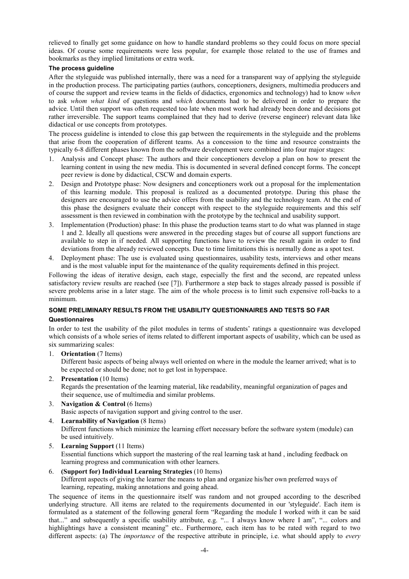relieved to finally get some guidance on how to handle standard problems so they could focus on more special ideas. Of course some requirements were less popular, for example those related to the use of frames and bookmarks as they implied limitations or extra work.

## **The process guideline**

After the styleguide was published internally, there was a need for a transparent way of applying the styleguide in the production process. The participating parties (authors, conceptioners, designers, multimedia producers and of course the support and review teams in the fields of didactics, ergonomics and technology) had to know *when*  to ask *whom what kind* of questions and *which* documents had to be delivered in order to prepare the advice*.* Until then support was often requested too late when most work had already been done and decisions got rather irreversible. The support teams complained that they had to derive (reverse engineer) relevant data like didactical or use concepts from prototypes.

The process guideline is intended to close this gap between the requirements in the styleguide and the problems that arise from the cooperation of different teams. As a concession to the time and resource constraints the typically 6-8 different phases known from the software development were combined into four major stages:

- 1. Analysis and Concept phase: The authors and their conceptioners develop a plan on how to present the learning content in using the new media. This is documented in several defined concept forms. The concept peer review is done by didactical, CSCW and domain experts.
- 2. Design and Prototype phase: Now designers and conceptioners work out a proposal for the implementation of this learning module. This proposal is realized as a documented prototype. During this phase the designers are encouraged to use the advice offers from the usability and the technology team. At the end of this phase the designers evaluate their concept with respect to the styleguide requirements and this self assessment is then reviewed in combination with the prototype by the technical and usability support.
- 3. Implementation (Production) phase: In this phase the production teams start to do what was planned in stage 1 and 2. Ideally all questions were answered in the preceding stages but of course all support functions are available to step in if needed. All supporting functions have to review the result again in order to find deviations from the already reviewed concepts. Due to time limitations this is normally done as a spot test.
- 4. Deployment phase: The use is evaluated using questionnaires, usability tests, interviews and other means and is the most valuable input for the maintenance of the quality requirements defined in this project.

Following the ideas of iterative design, each stage, especially the first and the second, are repeated unless satisfactory review results are reached (see [7]). Furthermore a step back to stages already passed is possible if severe problems arise in a later stage. The aim of the whole process is to limit such expensive roll-backs to a minimum.

## **SOME PRELIMINARY RESULTS FROM THE USABILITY QUESTIONNAIRES AND TESTS SO FAR**

## **Questionnaires**

In order to test the usability of the pilot modules in terms of students' ratings a questionnaire was developed which consists of a whole series of items related to different important aspects of usability, which can be used as six summarizing scales:

1. **Orientation** (7 Items)

Different basic aspects of being always well oriented on where in the module the learner arrived; what is to be expected or should be done; not to get lost in hyperspace.

- 2. **Presentation** (10 Items) Regards the presentation of the learning material, like readability, meaningful organization of pages and their sequence, use of multimedia and similar problems.
- 3. **Navigation & Control** (6 Items) Basic aspects of navigation support and giving control to the user.
- 4. **Learnability of Navigation** (8 Items) Different functions which minimize the learning effort necessary before the software system (module) can be used intuitively.
- 5. **Learning Support** (11 Items) Essential functions which support the mastering of the real learning task at hand , including feedback on learning progress and communication with other learners.
- 6. **(Support for) Individual Learning Strategies** (10 Items) Different aspects of giving the learner the means to plan and organize his/her own preferred ways of learning, repeating, making annotations and going ahead.

The sequence of items in the questionnaire itself was random and not grouped according to the described underlying structure. All items are related to the requirements documented in our 'styleguide'. Each item is formulated as a statement of the following general form "Regarding the module I worked with it can be said that..." and subsequently a specific usability attribute, e.g. "... I always know where I am", "... colors and highlightings have a consistent meaning" etc.. Furthermore, each item has to be rated with regard to two different aspects: (a) The *importance* of the respective attribute in principle, i.e. what should apply to *every*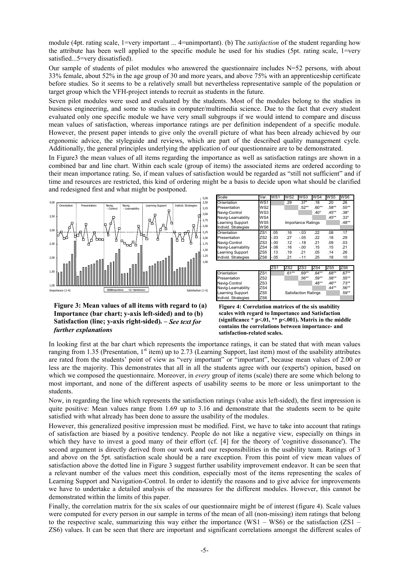module (4pt. rating scale, 1=very important ... 4=unimportant). (b) The *satisfaction* of the student regarding how the attribute has been well applied to the specific module he used for his studies (5pt. rating scale, 1=very satisfied...5=very dissatisfied).

Our sample of students of pilot modules who answered the questionnaire includes N=52 persons, with about 33% female, about 52% in the age group of 30 and more years, and above 75% with an apprenticeship certificate before studies. So it seems to be a relatively small but nevertheless representative sample of the population or target group which the VFH-project intends to recruit as students in the future.

Seven pilot modules were used and evaluated by the students. Most of the modules belong to the studies in business engineering, and some to studies in computer/multimedia science. Due to the fact that every student evaluated only one specific module we have very small subgroups if we would intend to compare and discuss mean values of satisfaction, whereas importance ratings are per definition independent of a specific module. However, the present paper intends to give only the overall picture of what has been already achieved by our ergonomic advice, the styleguide and reviews, which are part of the described quality management cycle. Additionally, the general principles underlying the application of our questionnaire are to be demonstrated.

In Figure3 the mean values of all items regarding the importance as well as satisfaction ratings are shown in a combined bar and line chart. Within each scale (group of items) the associated items are ordered according to their mean importance rating. So, if mean values of satisfaction would be regarded as "still not sufficient" and if time and resources are restricted, this kind of ordering might be a basis to decide upon what should be clarified and redesigned first and what might be postponed.



| Scale                                     | Var.            | WS1                | WS2             | WS3     | WS4        | $W\overline{\text{S5}}$ | WS6       |
|-------------------------------------------|-----------------|--------------------|-----------------|---------|------------|-------------------------|-----------|
| Orientation                               | WS <sub>1</sub> |                    | .29             | $.37*$  | .18        | $-20$                   | .26       |
| Presentation                              | WS <sub>2</sub> |                    |                 | $.52**$ | $.60**$    | .58**                   | .55**     |
| Navig-Control                             | WS3             |                    |                 |         | $.40*$     | $.45***$                | $.38*$    |
| Navig-Learnability                        | WS4             |                    |                 |         |            | $.45***$                | $.33*$    |
| Learning Support                          | WS5             | Importance Ratings |                 |         |            |                         |           |
| Individ. Strategies                       | WS6             |                    |                 |         |            |                         |           |
| Orientation                               | ZS1             | .05                | .16             | $-.03$  | .22        | .08                     | .17       |
| Presentation                              | ZS2             | $-.03$             | .27             | $-.05$  | .22        | .18                     | .29       |
| Navig-Control                             | ZS3             | $-0.00$            | .12             | $-.18$  | .21        | .09                     | .03       |
| Navig-Learnability                        | ZS4             | $-0.08$            | .16             | $-.00$  | .15        | .15                     | .21       |
| Learning Support                          | ZS5             | .13                | .19             | .21     | .05        | .14                     | .26       |
| Individ. Strategies                       | ZS6             | $-.05$             | .21             | $-11$   | .25        | .18                     | .10       |
|                                           |                 |                    |                 |         |            |                         |           |
|                                           |                 | ZS <sub>1</sub>    | ZS <sub>2</sub> | ZS3     | ZS4        | ZS5                     | ZS6       |
| $\sim$ $\sim$ $\sim$ $\sim$ $\sim$ $\sim$ | 701             |                    | $A +$           | $\sim$  | $0.1 + 1.$ | $\sim$                  | $0.7 + +$ |

|                         |                 | ∎∠ان | ⊷⊾      | ∎∠ບປ                        | 1404     | ∟ບບ     | ∟ບບ      |
|-------------------------|-----------------|------|---------|-----------------------------|----------|---------|----------|
| Orientation             | ZS <sub>1</sub> |      | $.61**$ | 69**                        | .64**    | $.68**$ | $.67***$ |
| Presentation            | ZS <sub>2</sub> |      |         | $.56***$                    | $.59***$ | .58**   | .55**    |
| Navig-Control           | ZS3             |      |         |                             | $.48**$  | $46**$  | $73**$   |
| Navig-Learnability      | ZS4             |      |         |                             |          | $.44**$ | .56**    |
| <b>Learning Support</b> | ZS <sub>5</sub> |      |         | <b>Satisfaction Ratings</b> |          |         | .59**    |
| Individ. Strategies     | ZS6             |      |         |                             |          |         |          |

**Figure 3: Mean values of all items with regard to (a) Importance (bar chart; y-axis left-sided) and to (b) Satisfaction (line; y-axis right-sided). –** *See text for further explanations*

**Figure 4: Correlation matrices of the six usability scales with regard to Importance and Satisfaction (significance \* p<.01, \*\* p<.001). Matrix in the middle contains the correlations between importance- and satisfaction-related scales.**

In looking first at the bar chart which represents the importance ratings, it can be stated that with mean values ranging from 1.35 (Presentation,  $1<sup>st</sup>$  item) up to 2.73 (Learning Support, last item) most of the usability attributes are rated from the students' point of view as "very important" or "important", because mean values of 2.00 or less are the majority. This demonstrates that all in all the students agree with our (experts') opinion, based on which we composed the questionnaire. Moreover, in *every* group of items (scale) there are some which belong to most important, and none of the different aspects of usability seems to be more or less unimportant to the students.

Now, in regarding the line which represents the satisfaction ratings (value axis left-sided), the first impression is quite positive: Mean values range from 1.69 up to 3.16 and demonstrate that the students seem to be quite satisfied with what already has been done to assure the usability of the modules.

However, this generalized positive impression must be modified. First, we have to take into account that ratings of satisfaction are biased by a positive tendency. People do not like a negative view, especially on things in which they have to invest a good many of their effort (cf. [4] for the theory of 'cognitive dissonance'). The second argument is directly derived from our work and our responsibilities in the usability team. Ratings of 3 and above on the 5pt. satisfaction scale should be a rare exception. From this point of view mean values of satisfaction above the dotted line in Figure 3 suggest further usability improvement endeavor. It can be seen that a relevant number of the values meet this condition, especially most of the items representing the scales of Learning Support and Navigation-Control. In order to identify the reasons and to give advice for improvements we have to undertake a detailed analysis of the measures for the different modules. However, this cannot be demonstrated within the limits of this paper.

Finally, the correlation matrix for the six scales of our questionnaire might be of interest (figure 4). Scale values were computed for every person in our sample in terms of the mean of all (non-missing) item ratings that belong to the respective scale, summarizing this way either the importance (WS1 – WS6) or the satisfaction (ZS1 – ZS6) values. It can be seen that there are important and significant correlations amongst the different scales of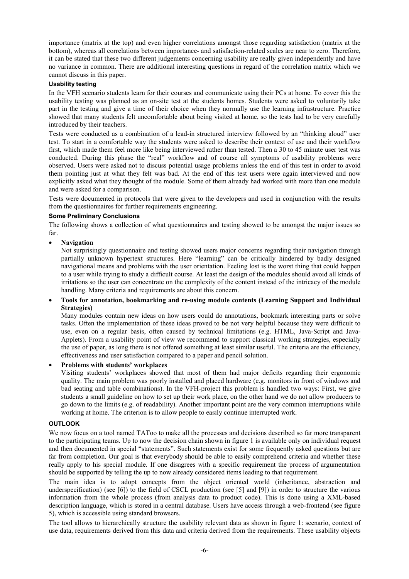importance (matrix at the top) and even higher correlations amongst those regarding satisfaction (matrix at the bottom), whereas all correlations between importance- and satisfaction-related scales are near to zero. Therefore, it can be stated that these two different judgements concerning usability are really given independently and have no variance in common. There are additional interesting questions in regard of the correlation matrix which we cannot discuss in this paper.

## **Usability testing**

In the VFH scenario students learn for their courses and communicate using their PCs at home. To cover this the usability testing was planned as an on-site test at the students homes. Students were asked to voluntarily take part in the testing and give a time of their choice when they normally use the learning infrastructure. Practice showed that many students felt uncomfortable about being visited at home, so the tests had to be very carefully introduced by their teachers.

Tests were conducted as a combination of a lead-in structured interview followed by an "thinking aloud" user test. To start in a comfortable way the students were asked to describe their context of use and their workflow first, which made them feel more like being interviewed rather than tested. Then a 30 to 45 minute user test was conducted. During this phase the "real" workflow and of course all symptoms of usability problems were observed. Users were asked not to discuss potential usage problems unless the end of this test in order to avoid them pointing just at what they felt was bad. At the end of this test users were again interviewed and now explicitly asked what they thought of the module. Some of them already had worked with more than one module and were asked for a comparison.

Tests were documented in protocols that were given to the developers and used in conjunction with the results from the questionnaires for further requirements engineering.

#### **Some Preliminary Conclusions**

The following shows a collection of what questionnaires and testing showed to be amongst the major issues so far.

## • **Navigation**

Not surprisingly questionnaire and testing showed users major concerns regarding their navigation through partially unknown hypertext structures. Here "learning" can be critically hindered by badly designed navigational means and problems with the user orientation. Feeling lost is the worst thing that could happen to a user while trying to study a difficult course. At least the design of the modules should avoid all kinds of irritations so the user can concentrate on the complexity of the content instead of the intricacy of the module handling. Many criteria and requirements are about this concern.

## • **Tools for annotation, bookmarking and re-using module contents (Learning Support and Individual Strategies)**

Many modules contain new ideas on how users could do annotations, bookmark interesting parts or solve tasks. Often the implementation of these ideas proved to be not very helpful because they were difficult to use, even on a regular basis, often caused by technical limitations (e.g. HTML, Java-Script and Java-Applets). From a usability point of view we recommend to support classical working strategies, especially the use of paper, as long there is not offered something at least similar useful. The criteria are the efficiency, effectiveness and user satisfaction compared to a paper and pencil solution.

## • **Problems with students' workplaces**

Visiting students' workplaces showed that most of them had major deficits regarding their ergonomic quality. The main problem was poorly installed and placed hardware (e.g. monitors in front of windows and bad seating and table combinations). In the VFH-project this problem is handled two ways: First, we give students a small guideline on how to set up their work place, on the other hand we do not allow producers to go down to the limits (e.g. of readability). Another important point are the very common interruptions while working at home. The criterion is to allow people to easily continue interrupted work.

#### **OUTLOOK**

We now focus on a tool named TAToo to make all the processes and decisions described so far more transparent to the participating teams. Up to now the decision chain shown in figure 1 is available only on individual request and then documented in special "statements". Such statements exist for some frequently asked questions but are far from completion. Our goal is that everybody should be able to easily comprehend criteria and whether these really apply to his special module. If one disagrees with a specific requirement the process of argumentation should be supported by telling the up to now already considered items leading to that requirement.

The main idea is to adopt concepts from the object oriented world (inheritance, abstraction and underspecification) (see [6]) to the field of CSCL production (see [5] and [9]) in order to structure the various information from the whole process (from analysis data to product code). This is done using a XML-based description language, which is stored in a central database. Users have access through a web-frontend (see figure 5), which is accessible using standard browsers.

The tool allows to hierarchically structure the usability relevant data as shown in figure 1: scenario, context of use data, requirements derived from this data and criteria derived from the requirements. These usability objects